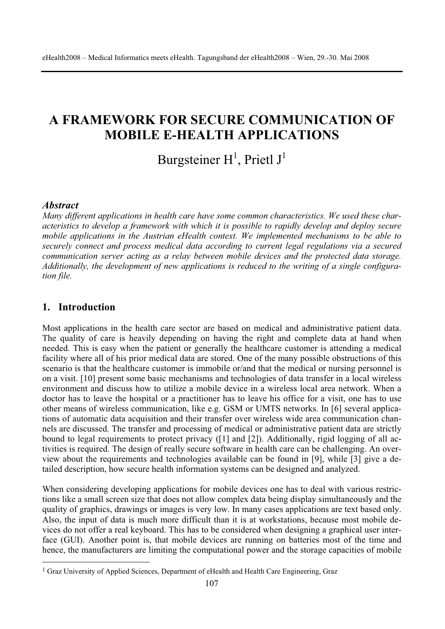# **A FRAMEWORK FOR SECURE COMMUNICATION OF MOBILE E-HEALTH APPLICATIONS**

# Burgsteiner  $H^1$ , Prietl J<sup>1</sup>

### *Abstract*

*Many different applications in health care have some common characteristics. We used these characteristics to develop a framework with which it is possible to rapidly develop and deploy secure mobile applications in the Austrian eHealth context. We implemented mechanisms to be able to securely connect and process medical data according to current legal regulations via a secured communication server acting as a relay between mobile devices and the protected data storage. Additionally, the development of new applications is reduced to the writing of a single configuration file.* 

# **1. Introduction**

Most applications in the health care sector are based on medical and administrative patient data. The quality of care is heavily depending on having the right and complete data at hand when needed. This is easy when the patient or generally the healthcare customer is attending a medical facility where all of his prior medical data are stored. One of the many possible obstructions of this scenario is that the healthcare customer is immobile or/and that the medical or nursing personnel is on a visit. [10] present some basic mechanisms and technologies of data transfer in a local wireless environment and discuss how to utilize a mobile device in a wireless local area network. When a doctor has to leave the hospital or a practitioner has to leave his office for a visit, one has to use other means of wireless communication, like e.g. GSM or UMTS networks. In [6] several applications of automatic data acquisition and their transfer over wireless wide area communication channels are discussed. The transfer and processing of medical or administrative patient data are strictly bound to legal requirements to protect privacy ([1] and [2]). Additionally, rigid logging of all activities is required. The design of really secure software in health care can be challenging. An overview about the requirements and technologies available can be found in [9], while [3] give a detailed description, how secure health information systems can be designed and analyzed.

When considering developing applications for mobile devices one has to deal with various restrictions like a small screen size that does not allow complex data being display simultaneously and the quality of graphics, drawings or images is very low. In many cases applications are text based only. Also, the input of data is much more difficult than it is at workstations, because most mobile devices do not offer a real keyboard. This has to be considered when designing a graphical user interface (GUI). Another point is, that mobile devices are running on batteries most of the time and hence, the manufacturers are limiting the computational power and the storage capacities of mobile

<sup>&</sup>lt;sup>1</sup> Graz University of Applied Sciences, Department of eHealth and Health Care Engineering, Graz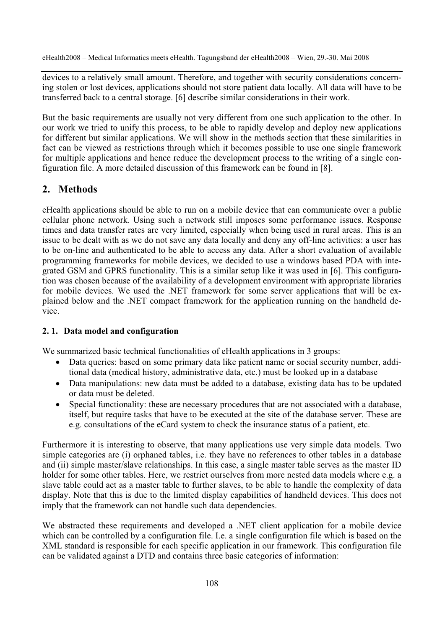devices to a relatively small amount. Therefore, and together with security considerations concerning stolen or lost devices, applications should not store patient data locally. All data will have to be transferred back to a central storage. [6] describe similar considerations in their work.

But the basic requirements are usually not very different from one such application to the other. In our work we tried to unify this process, to be able to rapidly develop and deploy new applications for different but similar applications. We will show in the methods section that these similarities in fact can be viewed as restrictions through which it becomes possible to use one single framework for multiple applications and hence reduce the development process to the writing of a single configuration file. A more detailed discussion of this framework can be found in [8].

# **2. Methods**

eHealth applications should be able to run on a mobile device that can communicate over a public cellular phone network. Using such a network still imposes some performance issues. Response times and data transfer rates are very limited, especially when being used in rural areas. This is an issue to be dealt with as we do not save any data locally and deny any off-line activities: a user has to be on-line and authenticated to be able to access any data. After a short evaluation of available programming frameworks for mobile devices, we decided to use a windows based PDA with integrated GSM and GPRS functionality. This is a similar setup like it was used in [6]. This configuration was chosen because of the availability of a development environment with appropriate libraries for mobile devices. We used the .NET framework for some server applications that will be explained below and the .NET compact framework for the application running on the handheld device.

# **2. 1. Data model and configuration**

We summarized basic technical functionalities of eHealth applications in 3 groups:

- Data queries: based on some primary data like patient name or social security number, additional data (medical history, administrative data, etc.) must be looked up in a database
- Data manipulations: new data must be added to a database, existing data has to be updated or data must be deleted.
- Special functionality: these are necessary procedures that are not associated with a database, itself, but require tasks that have to be executed at the site of the database server. These are e.g. consultations of the eCard system to check the insurance status of a patient, etc.

Furthermore it is interesting to observe, that many applications use very simple data models. Two simple categories are (i) orphaned tables, i.e. they have no references to other tables in a database and (ii) simple master/slave relationships. In this case, a single master table serves as the master ID holder for some other tables. Here, we restrict ourselves from more nested data models where e.g. a slave table could act as a master table to further slaves, to be able to handle the complexity of data display. Note that this is due to the limited display capabilities of handheld devices. This does not imply that the framework can not handle such data dependencies.

We abstracted these requirements and developed a .NET client application for a mobile device which can be controlled by a configuration file. I.e. a single configuration file which is based on the XML standard is responsible for each specific application in our framework. This configuration file can be validated against a DTD and contains three basic categories of information: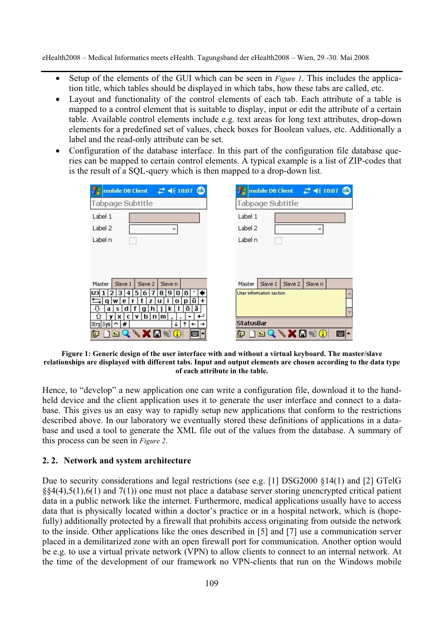- x Setup of the elements of the GUI which can be seen in *Figure 1*. This includes the application title, which tables should be displayed in which tabs, how these tabs are called, etc.
- Layout and functionality of the control elements of each tab. Each attribute of a table is mapped to a control element that is suitable to display, input or edit the attribute of a certain table. Available control elements include e.g. text areas for long text attributes, drop-down elements for a predefined set of values, check boxes for Boolean values, etc. Additionally a label and the read-only attribute can be set.
- Configuration of the database interface. In this part of the configuration file database queries can be mapped to certain control elements. A typical example is a list of ZIP-codes that is the result of a SQL-query which is then mapped to a drop-down list.

| → mobile DB Client # 4 (10:07 CD                         | / mobile DB Client # 4€ 10:07 <b>to</b> |
|----------------------------------------------------------|-----------------------------------------|
| Tabpage Subtitle                                         | Tabpage Subtitle                        |
| Label 1                                                  | Label 1                                 |
| Label 2                                                  | Label 2<br>÷                            |
| Label n                                                  | Label n                                 |
|                                                          |                                         |
|                                                          |                                         |
|                                                          |                                         |
| Slave 1<br>Slave 2<br>Slave n<br>Master                  | Slave 1<br>Slave 2<br>Slave n<br>Master |
| 123<br>5<br>8<br>0<br>4<br>6<br>9<br>ß<br>з              | User information section                |
| ü<br>$\ddot{}$<br>w<br>е<br>z<br>o<br>a<br>u<br>n        |                                         |
| ä<br>ö<br>⇩<br>d<br>a<br>k<br>s<br>n<br>g                |                                         |
| $b \mid n \mid m$<br>ſì<br>٧<br>x<br>٧<br>c              |                                         |
| Strg Sym 스 #1<br>↑<br>$\rightarrow$<br>┶<br>$\leftarrow$ | <b>StatusBar</b>                        |
| }@Q\X@\O<br>  囲 ▲                                        | <b>deqvxeto</b><br>圖1∼                  |

#### **Figure 1: Generic design of the user interface with and without a virtual keyboard. The master/slave relationships are displayed with different tabs. Input and output elements are chosen according to the data type of each attribute in the table.**

Hence, to "develop" a new application one can write a configuration file, download it to the handheld device and the client application uses it to generate the user interface and connect to a database. This gives us an easy way to rapidly setup new applications that conform to the restrictions described above. In our laboratory we eventually stored these definitions of applications in a database and used a tool to generate the XML file out of the values from the database. A summary of this process can be seen in *Figure 2*.

### **2. 2. Network and system architecture**

Due to security considerations and legal restrictions (see e.g. [1] DSG2000 §14(1) and [2] GTelG §§4(4),5(1),6(1) and 7(1)) one must not place a database server storing unencrypted critical patient data in a public network like the internet. Furthermore, medical applications usually have to access data that is physically located within a doctor's practice or in a hospital network, which is (hopefully) additionally protected by a firewall that prohibits access originating from outside the network to the inside. Other applications like the ones described in [5] and [7] use a communication server placed in a demilitarized zone with an open firewall port for communication. Another option would be e.g. to use a virtual private network (VPN) to allow clients to connect to an internal network. At the time of the development of our framework no VPN-clients that run on the Windows mobile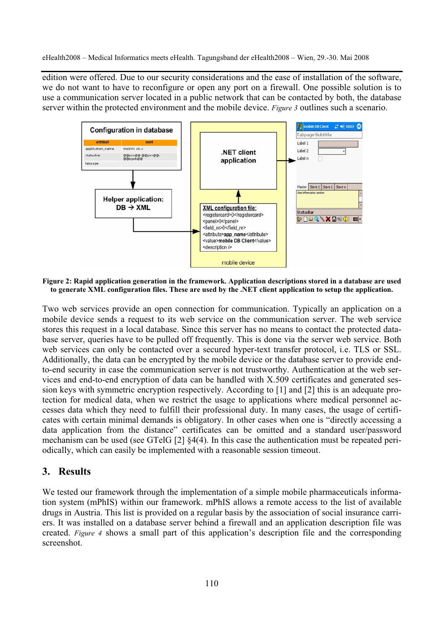edition were offered. Due to our security considerations and the ease of installation of the software, we do not want to have to reconfigure or open any port on a firewall. One possible solution is to use a communication server located in a public network that can be contacted by both, the database server within the protected environment and the mobile device. *Figure 3* outlines such a scenario.



**Figure 2: Rapid application generation in the framework. Application descriptions stored in a database are used to generate XML configuration files. These are used by the .NET client application to setup the application.** 

Two web services provide an open connection for communication. Typically an application on a mobile device sends a request to its web service on the communication server. The web service stores this request in a local database. Since this server has no means to contact the protected database server, queries have to be pulled off frequently. This is done via the server web service. Both web services can only be contacted over a secured hyper-text transfer protocol, i.e. TLS or SSL. Additionally, the data can be encrypted by the mobile device or the database server to provide endto-end security in case the communication server is not trustworthy. Authentication at the web services and end-to-end encryption of data can be handled with X.509 certificates and generated session keys with symmetric encryption respectively. According to [1] and [2] this is an adequate protection for medical data, when we restrict the usage to applications where medical personnel accesses data which they need to fulfill their professional duty. In many cases, the usage of certificates with certain minimal demands is obligatory. In other cases when one is "directly accessing a data application from the distance" certificates can be omitted and a standard user/password mechanism can be used (see GTelG [2] §4(4). In this case the authentication must be repeated periodically, which can easily be implemented with a reasonable session timeout.

## **3. Results**

We tested our framework through the implementation of a simple mobile pharmaceuticals information system (mPhIS) within our framework. mPhIS allows a remote access to the list of available drugs in Austria. This list is provided on a regular basis by the association of social insurance carriers. It was installed on a database server behind a firewall and an application description file was created. *Figure 4* shows a small part of this application's description file and the corresponding screenshot.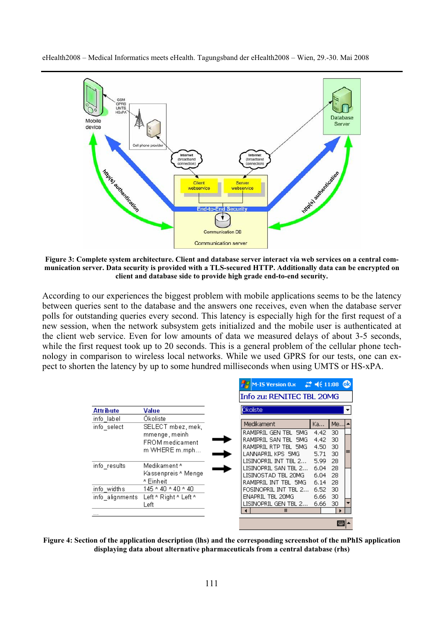

**Figure 3: Complete system architecture. Client and database server interact via web services on a central communication server. Data security is provided with a TLS-secured HTTP. Additionally data can be encrypted on client and database side to provide high grade end-to-end security.** 

According to our experiences the biggest problem with mobile applications seems to be the latency between queries sent to the database and the answers one receives, even when the database server polls for outstanding queries every second. This latency is especially high for the first request of a new session, when the network subsystem gets initialized and the mobile user is authenticated at the client web service. Even for low amounts of data we measured delays of about 3-5 seconds, while the first request took up to 20 seconds. This is a general problem of the cellular phone technology in comparison to wireless local networks. While we used GPRS for our tests, one can expect to shorten the latency by up to some hundred milliseconds when using UMTS or HS-xPA.

|                                |                                                          | M-IS Version 0.x                                                                            | $22 \leq 11:08$ 03                         |                      |   |
|--------------------------------|----------------------------------------------------------|---------------------------------------------------------------------------------------------|--------------------------------------------|----------------------|---|
|                                |                                                          | Info zu: RENITEC TBL 20MG                                                                   |                                            |                      |   |
| <b>Attribute</b>               | Value                                                    | Ökoliste                                                                                    |                                            |                      | ▼ |
| info label<br>info select      | Okoliste<br>SELECT mbez, mek,                            | Medikament                                                                                  | Ka                                         | Me                   |   |
|                                | mmenge, meinh<br><b>FROM</b> medicament<br>m WHERE m.mph | RAMIPRIL GEN TBL<br>RAMIPRIL SAN TBL<br>RAMIPRIL RTP TBL 5MG<br>LANNAPRIL KPS 5MG           | 5MG<br>4.42<br>4.42<br>5MG<br>4.50<br>5.71 | 30<br>30<br>30<br>30 |   |
| info_results                   | Medikament ^<br>Kassenpreis ^ Menge<br>^ Einheit         | LISINOPRIL INT TBL 2<br>LISINOPRIL SAN TBL 2<br>LISINOSTAD TBL 20MG<br>RAMIPRIL INT TBL 5MG | 5.99<br>6.04<br>6.04<br>6.14               | 28<br>28<br>28<br>28 |   |
| info widths<br>info alignments | 145 ^ 40 ^ 40 ^ 40<br>Left ^ Right ^ Left ^              | FOSINOPRIL INT TBL 2<br>ENAPRIL TBL 20MG                                                    | 6.52<br>6.66                               | 30<br>30             |   |
|                                | Left                                                     | LISINOPRIL GEN TBL 2<br>III                                                                 | 6.66                                       | 30                   |   |
|                                |                                                          |                                                                                             |                                            |                      | ᄤ |

**Figure 4: Section of the application description (lhs) and the corresponding screenshot of the mPhIS application displaying data about alternative pharmaceuticals from a central database (rhs)**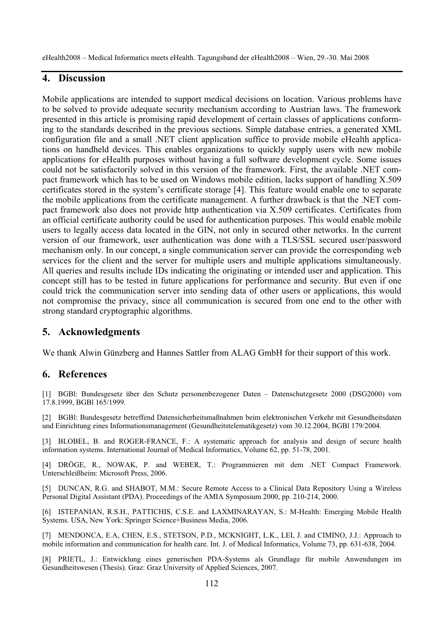# **4. Discussion**

Mobile applications are intended to support medical decisions on location. Various problems have to be solved to provide adequate security mechanism according to Austrian laws. The framework presented in this article is promising rapid development of certain classes of applications conforming to the standards described in the previous sections. Simple database entries, a generated XML configuration file and a small .NET client application suffice to provide mobile eHealth applications on handheld devices. This enables organizations to quickly supply users with new mobile applications for eHealth purposes without having a full software development cycle. Some issues could not be satisfactorily solved in this version of the framework. First, the available .NET compact framework which has to be used on Windows mobile edition, lacks support of handling X.509 certificates stored in the system's certificate storage [4]. This feature would enable one to separate the mobile applications from the certificate management. A further drawback is that the .NET compact framework also does not provide http authentication via X.509 certificates. Certificates from an official certificate authority could be used for authentication purposes. This would enable mobile users to legally access data located in the GIN, not only in secured other networks. In the current version of our framework, user authentication was done with a TLS/SSL secured user/password mechanism only. In our concept, a single communication server can provide the corresponding web services for the client and the server for multiple users and multiple applications simultaneously. All queries and results include IDs indicating the originating or intended user and application. This concept still has to be tested in future applications for performance and security. But even if one could trick the communication server into sending data of other users or applications, this would not compromise the privacy, since all communication is secured from one end to the other with strong standard cryptographic algorithms.

## **5. Acknowledgments**

We thank Alwin Günzberg and Hannes Sattler from ALAG GmbH for their support of this work.

### **6. References**

[1] BGBl: Bundesgesetz über den Schutz personenbezogener Daten – Datenschutzgesetz 2000 (DSG2000) vom 17.8.1999, BGBl 165/1999.

[2] BGBl: Bundesgesetz betreffend Datensicherheitsmaßnahmen beim elektronischen Verkehr mit Gesundheitsdaten und Einrichtung eines Informationsmanagement (Gesundheitstelematikgesetz) vom 30.12.2004, BGBl 179/2004.

[3] BLOBEL, B. and ROGER-FRANCE, F.: A systematic approach for analysis and design of secure health information systems. International Journal of Medical Informatics, Volume 62, pp. 51-78, 2001.

[4] DRÖGE, R., NOWAK, P. and WEBER, T.: Programmieren mit dem .NET Compact Framework. Unterschleißheim: Microsoft Press, 2006.

[5] DUNCAN, R.G. and SHABOT, M.M.: Secure Remote Access to a Clinical Data Repository Using a Wireless Personal Digital Assistant (PDA). Proceedings of the AMIA Symposium 2000, pp. 210-214, 2000.

[6] ISTEPANIAN, R.S.H., PATTICHIS, C.S.E. and LAXMINARAYAN, S.: M-Health: Emerging Mobile Health Systems. USA, New York: Springer Science+Business Media, 2006.

[7] MENDONCA, E.A, CHEN, E.S., STETSON, P.D., MCKNIGHT, L.K., LEI, J. and CIMINO, J.J.: Approach to mobile information and communication for health care. Int. J. of Medical Informatics, Volume 73, pp. 631-638, 2004.

[8] PRIETL, J.: Entwicklung eines generischen PDA-Systems als Grundlage für mobile Anwendungen im Gesundheitswesen (Thesis). Graz: Graz University of Applied Sciences, 2007.